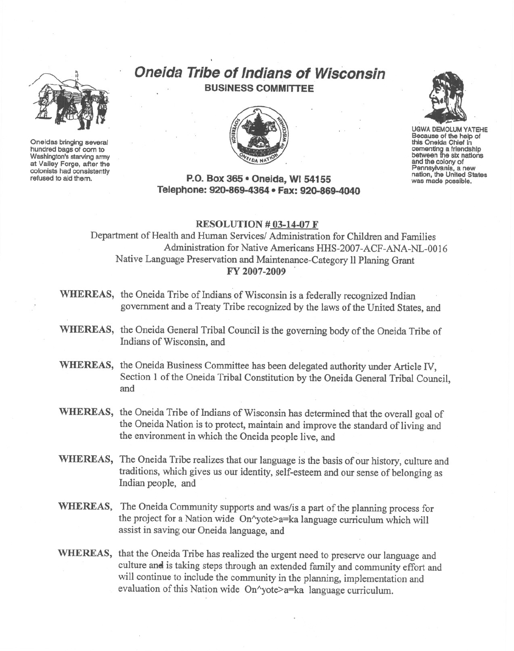

Oneidas bringing several hundred bags of com to Washington's starving army at Valley Forge, after the refused to aid them.

# **Oneida Tribe of Indians of Wisconsin** BUSINESS COMMITTEE



# P.O.Box 365· Oneida, WI 54155 Telephone: 920-869-4364 • Fax: 920-869-4040



UGWA DEMOLUM YATEHE Because of the help of this Oneida Chief In cementing a friendship<br>between the six nations and the colony of Pennsylvania, <sup>a</sup> new nation, the United States was made possible.

#### RESOLUTION # 03-14-07 F

Department of Health and Human Services/ Administration for Children and Families Administration for Native Americans HHS-2007-ACF-ANA-NL-0016 Native Language Preservation and Maintenance-Category 11Planing Grant FY 2007-2009

- WHEREAS, the Oneida Tribe of Indians of Wisconsin is a federally recognized Indian government and a Treaty Tribe recognized by the laws of the United States, and
- WHEREAS, the Oneida General Tribal Council is the governing body of the Oneida Tribe of Indians of Wisconsin, and
- WHEREAS, the Oneida Business Committee has been delegated authority under Article IV, Section 1 of the Oneida Tribal Constitution by the Oneida General Tribal Council, and
- WHEREAS, the Oneida Tribe of Indians of Wisconsin has determined that the overall goal of the Oneida Nation is to protect, maintain and improve the standard of living and the environment in which the Oneida people live, and
- WHEREAS, The Oneida Tribe realizes that our language is the basis of our history, culture and traditions, which gives us our identity, Self-esteem and our sense of belonging as Indian people, and
- WHEREAS, The Oneida Community supports and was/is a part of the planning process for the project for a Nation wide On"yote>a=ka language curriculum which will assist in saving our Oneida language, and
- WHEREAS, that the Oneida Tribe has realized the urgent need to preserve our language and culture and is taking steps through an extended family and community effort and will continue to include the community in the planning, implementation and evaluation of this Nation wide On^yote>a=ka language curriculum.